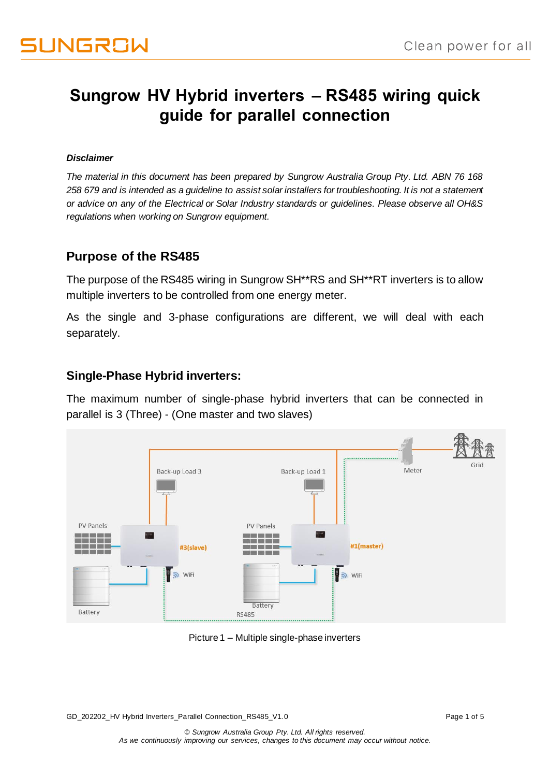### **Sungrow HV Hybrid inverters – RS485 wiring quick guide for parallel connection**

#### *Disclaimer*

*The material in this document has been prepared by Sungrow Australia Group Pty. Ltd. ABN 76 168 258 679 and is intended as a guideline to assist solar installers for troubleshooting. It is not a statement or advice on any of the Electrical or Solar Industry standards or guidelines. Please observe all OH&S regulations when working on Sungrow equipment.*

#### **Purpose of the RS485**

The purpose of the RS485 wiring in Sungrow SH\*\*RS and SH\*\*RT inverters is to allow multiple inverters to be controlled from one energy meter.

As the single and 3-phase configurations are different, we will deal with each separately.

#### **Single-Phase Hybrid inverters:**

The maximum number of single-phase hybrid inverters that can be connected in parallel is 3 (Three) - (One master and two slaves)



Picture 1 – Multiple single-phase inverters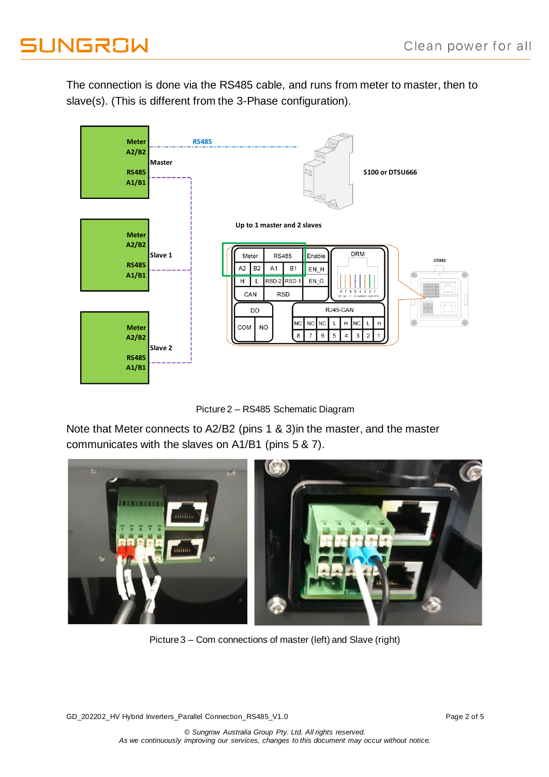# **JUNGROW**

The connection is done via the RS485 cable, and runs from meter to master, then to slave(s). (This is different from the 3-Phase configuration).



Picture 2 – RS485 Schematic Diagram

Note that Meter connects to A2/B2 (pins 1 & 3)in the master, and the master communicates with the slaves on A1/B1 (pins 5 & 7).



Picture 3 – Com connections of master (left) and Slave (right)

GD\_202202\_HV Hybrid Inverters\_Parallel Connection\_RS485\_V1.0 Page 2 of 5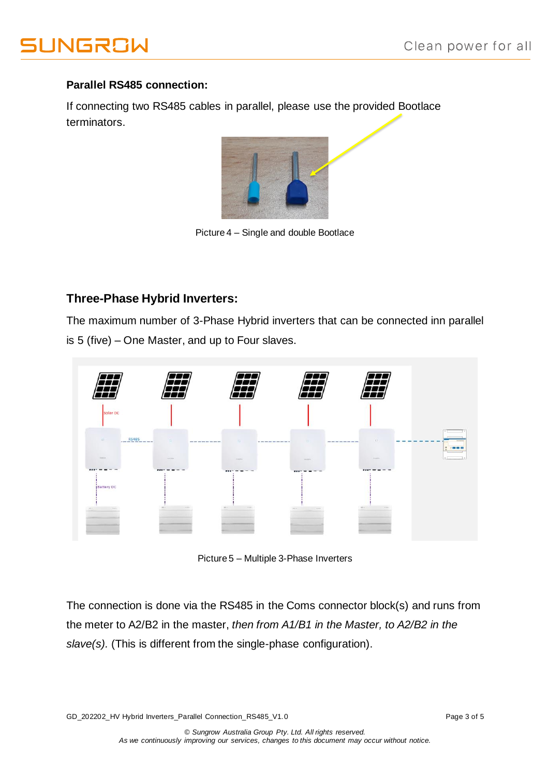# **JNGROW**

#### **Parallel RS485 connection:**

If connecting two RS485 cables in parallel, please use the provided Bootlace terminators.



Picture 4 – Single and double Bootlace

### **Three-Phase Hybrid Inverters:**

The maximum number of 3-Phase Hybrid inverters that can be connected inn parallel is 5 (five) – One Master, and up to Four slaves.



Picture 5 – Multiple 3-Phase Inverters

The connection is done via the RS485 in the Coms connector block(s) and runs from the meter to A2/B2 in the master, *then from A1/B1 in the Master, to A2/B2 in the slave(s).* (This is different from the single-phase configuration).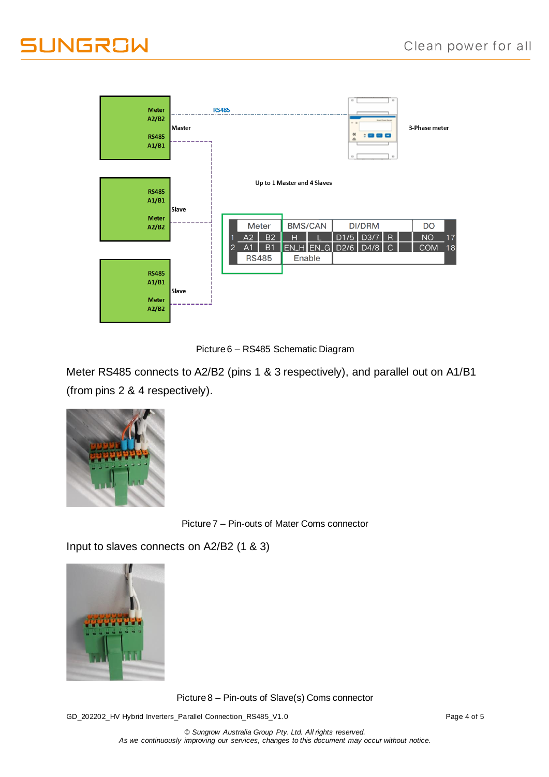# **JUNGROW**





Meter RS485 connects to A2/B2 (pins 1 & 3 respectively), and parallel out on A1/B1 (from pins 2 & 4 respectively).



Picture 7 – Pin-outs of Mater Coms connector

Input to slaves connects on A2/B2 (1 & 3)



Picture 8 – Pin-outs of Slave(s) Coms connector

GD\_202202\_HV Hybrid Inverters\_Parallel Connection\_RS485\_V1.0 Page 4 of 5